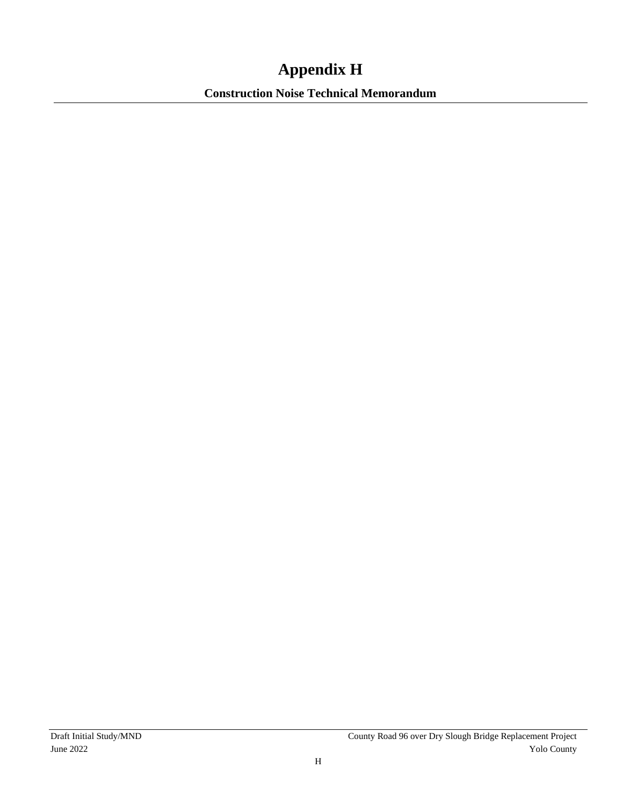## **Appendix H**

**Construction Noise Technical Memorandum**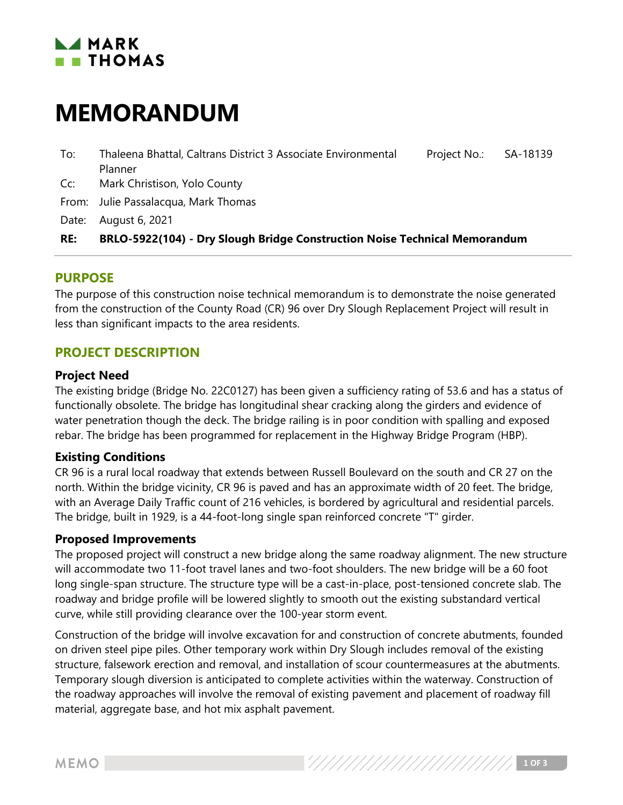### **LAMARK**  $\blacksquare$  THOMAS

# **MEMORANDUM**

- To: Thaleena Bhattal, Caltrans District 3 Associate Environmental Planner Project No.: SA-18139
- Cc: Mark Christison, Yolo County
- From: Julie Passalacqua, Mark Thomas

Date: August 6, 2021

#### **RE: BRLO-5922(104) - Dry Slough Bridge Construction Noise Technical Memorandum**

#### **PURPOSE**

The purpose of this construction noise technical memorandum is to demonstrate the noise generated from the construction of the County Road (CR) 96 over Dry Slough Replacement Project will result in less than significant impacts to the area residents.

#### **PROJECT DESCRIPTION**

#### **Project Need**

The existing bridge (Bridge No. 22C0127) has been given a sufficiency rating of 53.6 and has a status of functionally obsolete. The bridge has longitudinal shear cracking along the girders and evidence of water penetration though the deck. The bridge railing is in poor condition with spalling and exposed rebar. The bridge has been programmed for replacement in the Highway Bridge Program (HBP).

#### **Existing Conditions**

CR 96 is a rural local roadway that extends between Russell Boulevard on the south and CR 27 on the north. Within the bridge vicinity, CR 96 is paved and has an approximate width of 20 feet. The bridge, with an Average Daily Traffic count of 216 vehicles, is bordered by agricultural and residential parcels. The bridge, built in 1929, is a 44-foot-long single span reinforced concrete "T" girder.

#### **Proposed Improvements**

The proposed project will construct a new bridge along the same roadway alignment. The new structure will accommodate two 11-foot travel lanes and two-foot shoulders. The new bridge will be a 60 foot long single-span structure. The structure type will be a cast-in-place, post-tensioned concrete slab. The roadway and bridge profile will be lowered slightly to smooth out the existing substandard vertical curve, while still providing clearance over the 100-year storm event.

Construction of the bridge will involve excavation for and construction of concrete abutments, founded on driven steel pipe piles. Other temporary work within Dry Slough includes removal of the existing structure, falsework erection and removal, and installation of scour countermeasures at the abutments. Temporary slough diversion is anticipated to complete activities within the waterway. Construction of the roadway approaches will involve the removal of existing pavement and placement of roadway fill material, aggregate base, and hot mix asphalt pavement.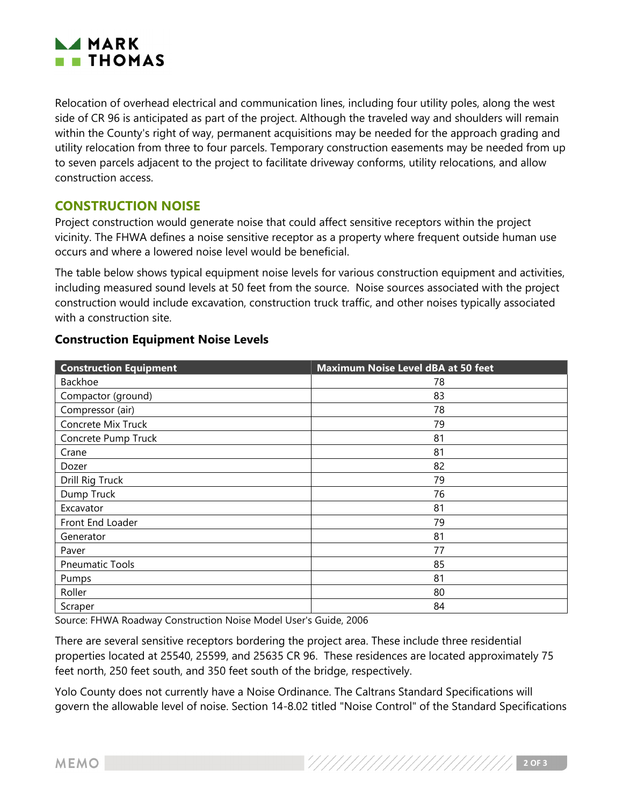

Relocation of overhead electrical and communication lines, including four utility poles, along the west side of CR 96 is anticipated as part of the project. Although the traveled way and shoulders will remain within the County's right of way, permanent acquisitions may be needed for the approach grading and utility relocation from three to four parcels. Temporary construction easements may be needed from up to seven parcels adjacent to the project to facilitate driveway conforms, utility relocations, and allow construction access.

#### **CONSTRUCTION NOISE**

Project construction would generate noise that could affect sensitive receptors within the project vicinity. The FHWA defines a noise sensitive receptor as a property where frequent outside human use occurs and where a lowered noise level would be beneficial.

The table below shows typical equipment noise levels for various construction equipment and activities, including measured sound levels at 50 feet from the source. Noise sources associated with the project construction would include excavation, construction truck traffic, and other noises typically associated with a construction site.

| <b>Construction Equipment</b> | <b>Maximum Noise Level dBA at 50 feet</b> |
|-------------------------------|-------------------------------------------|
| Backhoe                       | 78                                        |
| Compactor (ground)            | 83                                        |
| Compressor (air)              | 78                                        |
| Concrete Mix Truck            | 79                                        |
| Concrete Pump Truck           | 81                                        |
| Crane                         | 81                                        |
| Dozer                         | 82                                        |
| Drill Rig Truck               | 79                                        |
| Dump Truck                    | 76                                        |
| Excavator                     | 81                                        |
| Front End Loader              | 79                                        |
| Generator                     | 81                                        |
| Paver                         | 77                                        |
| <b>Pneumatic Tools</b>        | 85                                        |
| Pumps                         | 81                                        |
| Roller                        | 80                                        |
| Scraper                       | 84                                        |

#### **Construction Equipment Noise Levels**

Source: FHWA Roadway Construction Noise Model User's Guide, 2006

There are several sensitive receptors bordering the project area. These include three residential properties located at 25540, 25599, and 25635 CR 96. These residences are located approximately 75 feet north, 250 feet south, and 350 feet south of the bridge, respectively.

Yolo County does not currently have a Noise Ordinance. The Caltrans Standard Specifications will govern the allowable level of noise. Section 14-8.02 titled "Noise Control" of the Standard Specifications